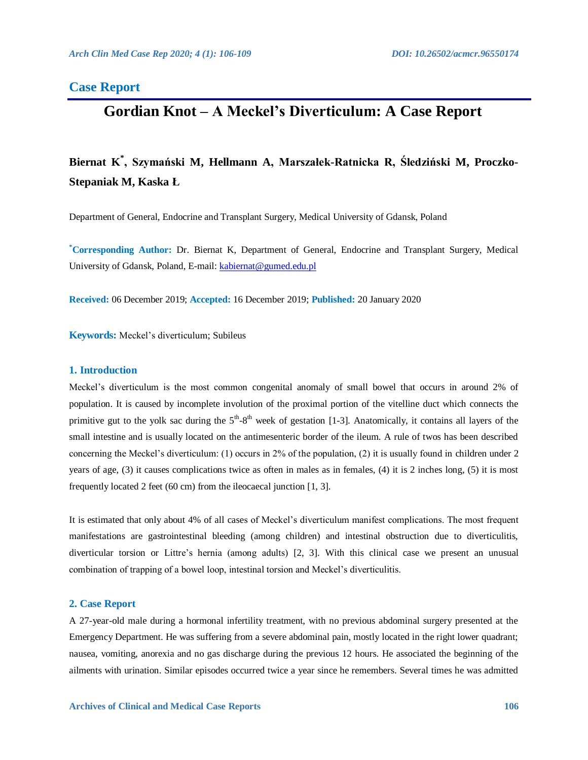## **Case Report**

# **Gordian Knot – A Meckel's Diverticulum: A Case Report**

# **Biernat K\* , Szymański M, Hellmann A, Marszałek-Ratnicka R, Śledziński M, Proczko-Stepaniak M, Kaska Ł**

Department of General, Endocrine and Transplant Surgery, Medical University of Gdansk, Poland

**\*Corresponding Author:** Dr. Biernat K, Department of General, Endocrine and Transplant Surgery, Medical University of Gdansk, Poland, E-mail[: kabiernat@gumed.edu.pl](mailto:kabiernat@gumed.edu.pl)

**Received:** 06 December 2019; **Accepted:** 16 December 2019; **Published:** 20 January 2020

**Keywords:** Meckel's diverticulum; Subileus

#### **1. Introduction**

Meckel's diverticulum is the most common congenital anomaly of small bowel that occurs in around 2% of population. It is caused by incomplete involution of the proximal portion of the vitelline duct which connects the primitive gut to the yolk sac during the  $5<sup>th</sup>-8<sup>th</sup>$  week of gestation [1-3]. Anatomically, it contains all layers of the small intestine and is usually located on the antimesenteric border of the ileum. A rule of twos has been described concerning the Meckel's diverticulum: (1) occurs in 2% of the population, (2) it is usually found in children under 2 years of age, (3) it causes complications twice as often in males as in females, (4) it is 2 inches long, (5) it is most frequently located 2 feet (60 cm) from the ileocaecal junction [1, 3].

It is estimated that only about 4% of all cases of Meckel's diverticulum manifest complications. The most frequent manifestations are gastrointestinal bleeding (among children) and intestinal obstruction due to diverticulitis, diverticular torsion or Littre's hernia (among adults) [2, 3]. With this clinical case we present an unusual combination of trapping of a bowel loop, intestinal torsion and Meckel's diverticulitis.

#### **2. Case Report**

A 27-year-old male during a hormonal infertility treatment, with no previous abdominal surgery presented at the Emergency Department. He was suffering from a severe abdominal pain, mostly located in the right lower quadrant; nausea, vomiting, anorexia and no gas discharge during the previous 12 hours. He associated the beginning of the ailments with urination. Similar episodes occurred twice a year since he remembers. Several times he was admitted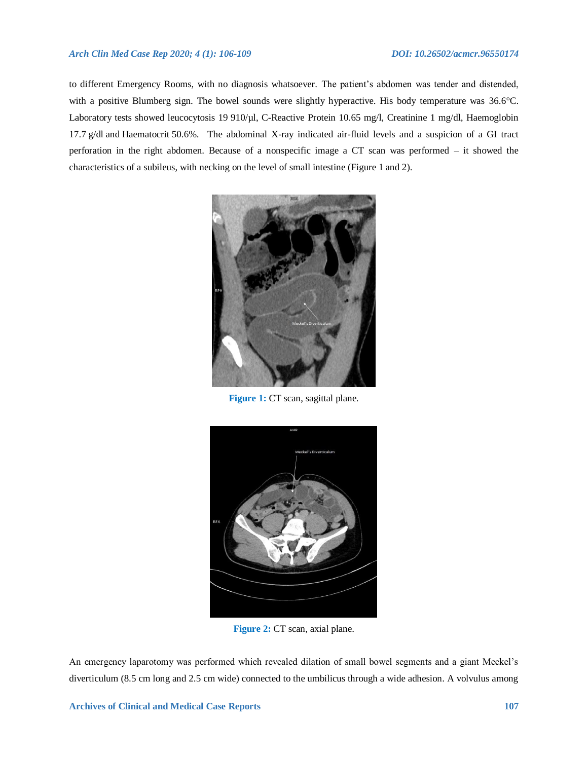#### *Arch Clin Med Case Rep 2020; 4 (1): 106-109 DOI: 10.26502/acmcr.96550174*

to different Emergency Rooms, with no diagnosis whatsoever. The patient's abdomen was tender and distended, with a positive Blumberg sign. The bowel sounds were slightly hyperactive. His body temperature was 36.6°C. Laboratory tests showed leucocytosis 19 910/µl, C-Reactive Protein 10.65 mg/l, Creatinine 1 mg/dl, Haemoglobin 17.7 g/dl and Haematocrit 50.6%. The abdominal X-ray indicated air-fluid levels and a suspicion of a GI tract perforation in the right abdomen. Because of a nonspecific image a CT scan was performed – it showed the characteristics of a subileus, with necking on the level of small intestine (Figure 1 and 2).



**Figure 1:** CT scan, sagittal plane.



**Figure 2:** CT scan, axial plane.

An emergency laparotomy was performed which revealed dilation of small bowel segments and a giant Meckel's diverticulum (8.5 cm long and 2.5 cm wide) connected to the umbilicus through a wide adhesion. A volvulus among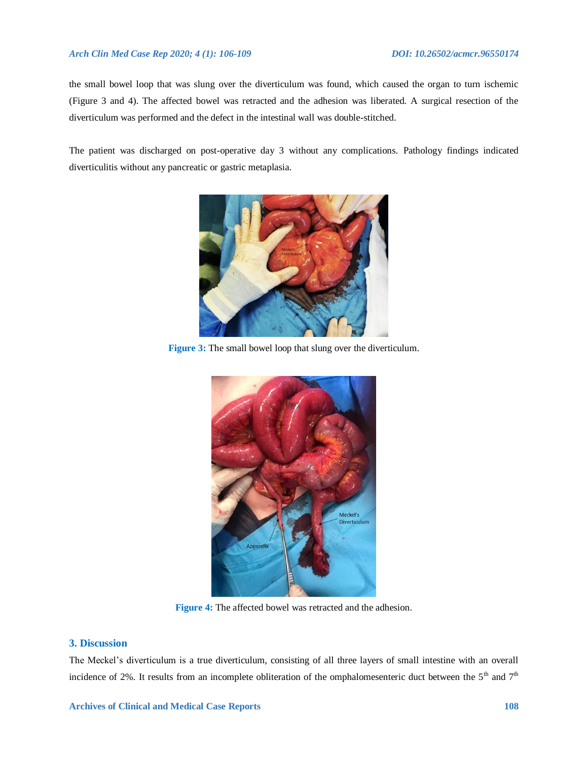#### *Arch Clin Med Case Rep 2020; 4 (1): 106-109 DOI: 10.26502/acmcr.96550174*

the small bowel loop that was slung over the diverticulum was found, which caused the organ to turn ischemic (Figure 3 and 4). The affected bowel was retracted and the adhesion was liberated. A surgical resection of the diverticulum was performed and the defect in the intestinal wall was double-stitched.

The patient was discharged on post-operative day 3 without any complications. Pathology findings indicated diverticulitis without any pancreatic or gastric metaplasia.



**Figure 3:** The small bowel loop that slung over the diverticulum.



**Figure 4:** The affected bowel was retracted and the adhesion.

### **3. Discussion**

The Meckel's diverticulum is a true diverticulum, consisting of all three layers of small intestine with an overall incidence of 2%. It results from an incomplete obliteration of the omphalomesenteric duct between the  $5<sup>th</sup>$  and  $7<sup>th</sup>$